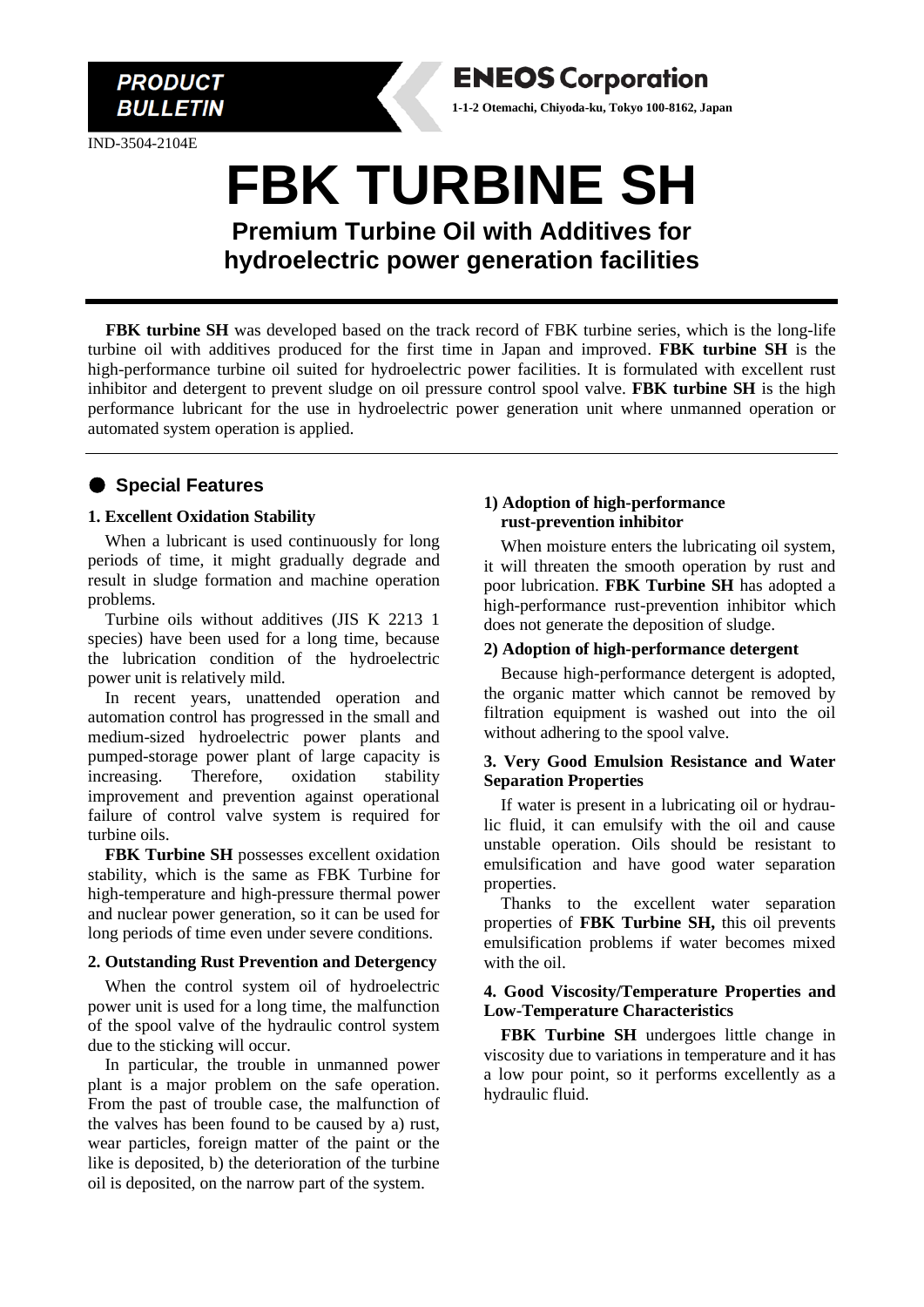

IND-3504-2104E



**FBK turbine SH** was developed based on the track record of FBK turbine series, which is the long-life turbine oil with additives produced for the first time in Japan and improved. **FBK turbine SH** is the high-performance turbine oil suited for hydroelectric power facilities. It is formulated with excellent rust inhibitor and detergent to prevent sludge on oil pressure control spool valve. **FBK turbine SH** is the high performance lubricant for the use in hydroelectric power generation unit where unmanned operation or automated system operation is applied.

# ● **Special Features**

#### **1. Excellent Oxidation Stability**

When a lubricant is used continuously for long periods of time, it might gradually degrade and result in sludge formation and machine operation problems.

Turbine oils without additives (JIS K 2213 1 species) have been used for a long time, because the lubrication condition of the hydroelectric power unit is relatively mild.

In recent years, unattended operation and automation control has progressed in the small and medium-sized hydroelectric power plants and pumped-storage power plant of large capacity is increasing. Therefore, oxidation stability improvement and prevention against operational failure of control valve system is required for turbine oils.

**FBK Turbine SH** possesses excellent oxidation stability, which is the same as FBK Turbine for high-temperature and high-pressure thermal power and nuclear power generation, so it can be used for long periods of time even under severe conditions.

#### **2. Outstanding Rust Prevention and Detergency**

When the control system oil of hydroelectric power unit is used for a long time, the malfunction of the spool valve of the hydraulic control system due to the sticking will occur.

In particular, the trouble in unmanned power plant is a major problem on the safe operation. From the past of trouble case, the malfunction of the valves has been found to be caused by a) rust, wear particles, foreign matter of the paint or the like is deposited, b) the deterioration of the turbine oil is deposited, on the narrow part of the system.

#### **1) Adoption of high-performance rust-prevention inhibitor**

**ENEOS Corporation 1-1-2 Otemachi, Chiyoda-ku, Tokyo 100-8162, Japan**

> When moisture enters the lubricating oil system, it will threaten the smooth operation by rust and poor lubrication. **FBK Turbine SH** has adopted a high-performance rust-prevention inhibitor which does not generate the deposition of sludge.

#### **2) Adoption of high-performance detergent**

Because high-performance detergent is adopted, the organic matter which cannot be removed by filtration equipment is washed out into the oil without adhering to the spool valve.

#### **3. Very Good Emulsion Resistance and Water Separation Properties**

If water is present in a lubricating oil or hydraulic fluid, it can emulsify with the oil and cause unstable operation. Oils should be resistant to emulsification and have good water separation properties.

Thanks to the excellent water separation properties of **FBK Turbine SH,** this oil prevents emulsification problems if water becomes mixed with the oil.

#### **4. Good Viscosity/Temperature Properties and Low-Temperature Characteristics**

**FBK Turbine SH** undergoes little change in viscosity due to variations in temperature and it has a low pour point, so it performs excellently as a hydraulic fluid.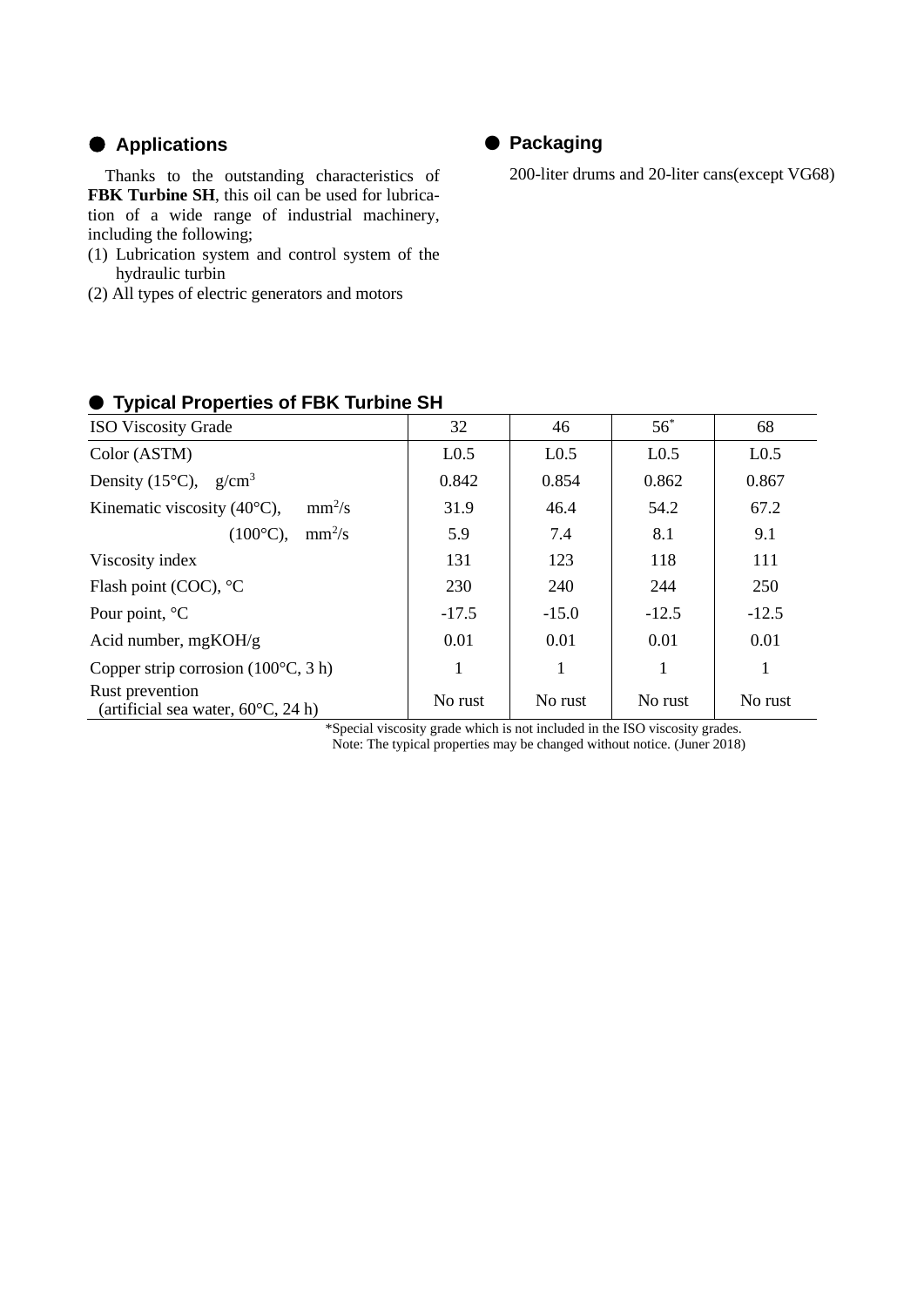# ● **Applications**

Thanks to the outstanding characteristics of **FBK Turbine SH**, this oil can be used for lubrication of a wide range of industrial machinery, including the following;

- (1) Lubrication system and control system of the hydraulic turbin
- (2) All types of electric generators and motors

# ● **Packaging**

200-liter drums and 20-liter cans(except VG68)

| 32               | 46               | $56^*$           | 68                                                                                                         |
|------------------|------------------|------------------|------------------------------------------------------------------------------------------------------------|
| L <sub>0.5</sub> | L <sub>0.5</sub> | L <sub>0.5</sub> | L <sub>0.5</sub>                                                                                           |
| 0.842            | 0.854            | 0.862            | 0.867                                                                                                      |
| 31.9             | 46.4             | 54.2             | 67.2                                                                                                       |
| 5.9              | 7.4              | 8.1              | 9.1                                                                                                        |
| 131              | 123              | 118              | 111                                                                                                        |
| 230              | 240              | 244              | 250                                                                                                        |
| $-17.5$          | $-15.0$          | $-12.5$          | $-12.5$                                                                                                    |
| 0.01             | 0.01             | 0.01             | 0.01                                                                                                       |
|                  | 1                | 1                |                                                                                                            |
| No rust          | No rust          | No rust          | No rust                                                                                                    |
|                  |                  |                  | $\mathbf{A}$ and $\mathbf{A}$ are the state of $\mathbf{A}$ and $\mathbf{A}$ are the state of $\mathbf{A}$ |

# ● **Typical Properties of FBK Turbine SH**

\*Special viscosity grade which is not included in the ISO viscosity grades. Note: The typical properties may be changed without notice. (Juner 2018)